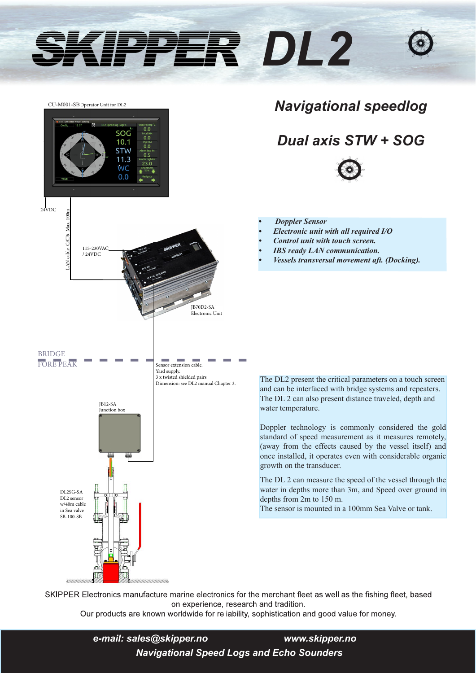# *DL2*



## *Navigational speedlog*

# *Dual axis STW + SOG*



- *Doppler Sensor*
- *• Electronic unit with all required I/O*
- *• Control unit with touch screen.*
- *• IBS ready LAN communication.*
- *• Vessels transversal movement aft. (Docking).*

The DL2 present the critical parameters on a touch screen and can be interfaced with bridge systems and repeaters. The DL 2 can also present distance traveled, depth and water temperature.

Doppler technology is commonly considered the gold standard of speed measurement as it measures remotely, (away from the effects caused by the vessel itself) and once installed, it operates even with considerable organic growth on the transducer.

The DL 2 can measure the speed of the vessel through the water in depths more than 3m, and Speed over ground in depths from 2m to 150 m.

The sensor is mounted in a 100mm Sea Valve or tank.

SKIPPER Electronics manufacture marine electronics for the merchant fleet as well as the fishing fleet, based on experience, research and tradition.

Our products are known worldwide for reliability, sophistication and good value for money.